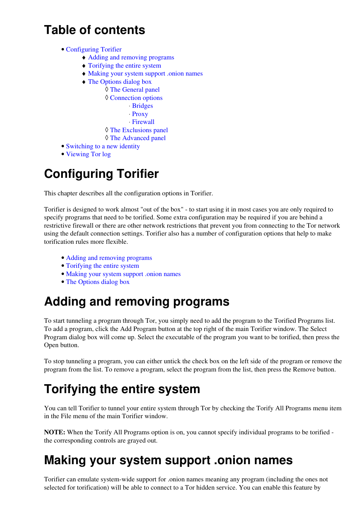#### **Table of contents**

- [Configuring Torifier](#page-0-0)
	- ♦ [Adding and removing programs](#page-0-1)
	- ♦ [Torifying the entire system](#page-0-2)
	- ♦ [Making your system support .onion names](#page-0-3)
	- ♦ [The Options dialog box](#page-1-0)
		- ◊ [The General panel](#page-1-1)
		- ◊ [Connection options](#page-1-2)
			- ⋅ [Bridges](#page-1-3)
			- ⋅ [Proxy](#page-1-4)
			- ⋅ [Firewall](#page-2-0)
		- ◊ [The Exclusions panel](#page-2-1)
		- ◊ [The Advanced panel](#page-2-2)
- [Switching to a new identity](#page-3-0)
- [Viewing Tor log](#page-3-1)

## <span id="page-0-0"></span>**Configuring Torifier**

This chapter describes all the configuration options in Torifier.

Torifier is designed to work almost "out of the box" - to start using it in most cases you are only required to specify programs that need to be torified. Some extra configuration may be required if you are behind a restrictive firewall or there are other network restrictions that prevent you from connecting to the Tor network using the default connection settings. Torifier also has a number of configuration options that help to make torification rules more flexible.

- [Adding and removing programs](#page-0-1)
- [Torifying the entire system](#page-0-2)
- [Making your system support .onion names](#page-0-3)
- [The Options dialog box](#page-1-0)

# <span id="page-0-1"></span>**Adding and removing programs**

To start tunneling a program through Tor, you simply need to add the program to the Torified Programs list. To add a program, click the Add Program button at the top right of the main Torifier window. The Select Program dialog box will come up. Select the executable of the program you want to be torified, then press the Open button.

To stop tunneling a program, you can either untick the check box on the left side of the program or remove the program from the list. To remove a program, select the program from the list, then press the Remove button.

# <span id="page-0-2"></span>**Torifying the entire system**

You can tell Torifier to tunnel your entire system through Tor by checking the Torify All Programs menu item in the File menu of the main Torifier window.

**NOTE:** When the Torify All Programs option is on, you cannot specify individual programs to be torified the corresponding controls are grayed out.

### <span id="page-0-3"></span>**Making your system support .onion names**

Torifier can emulate system-wide support for .onion names meaning any program (including the ones not selected for torification) will be able to connect to a Tor hidden service. You can enable this feature by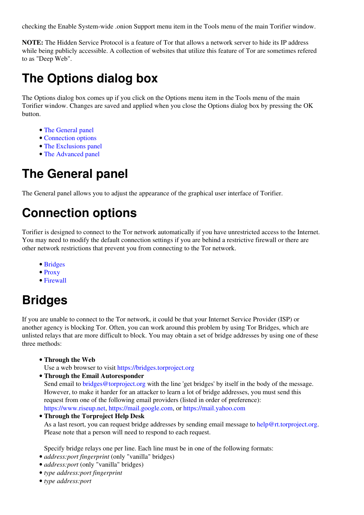checking the Enable System-wide .onion Support menu item in the Tools menu of the main Torifier window.

**NOTE:** The Hidden Service Protocol is a feature of Tor that allows a network server to hide its IP address while being publicly accessible. A collection of websites that utilize this feature of Tor are sometimes refered to as "Deep Web".

#### <span id="page-1-0"></span>**The Options dialog box**

The Options dialog box comes up if you click on the Options menu item in the Tools menu of the main Torifier window. Changes are saved and applied when you close the Options dialog box by pressing the OK button.

- [The General panel](#page-1-1)
- [Connection options](#page-1-2)
- [The Exclusions panel](#page-2-1)
- [The Advanced panel](#page-2-2)

#### <span id="page-1-1"></span>**The General panel**

<span id="page-1-2"></span>The General panel allows you to adjust the appearance of the graphical user interface of Torifier.

# **Connection options**

Torifier is designed to connect to the Tor network automatically if you have unrestricted access to the Internet. You may need to modify the default connection settings if you are behind a restrictive firewall or there are other network restrictions that prevent you from connecting to the Tor network.

- [Bridges](#page-1-3)
- [Proxy](#page-1-4)
- [Firewall](#page-2-0)

### <span id="page-1-3"></span>**Bridges**

If you are unable to connect to the Tor network, it could be that your Internet Service Provider (ISP) or another agency is blocking Tor. Often, you can work around this problem by using Tor Bridges, which are unlisted relays that are more difficult to block. You may obtain a set of bridge addresses by using one of these three methods:

**Through the Web** •

Use a web browser to visit <https://bridges.torproject.org>

**Through the Email Autoresponder** •

Send email to [bridges@torproject.org](mailto:bridges@torproject.org) with the line 'get bridges' by itself in the body of the message. However, to make it harder for an attacker to learn a lot of bridge addresses, you must send this request from one of the following email providers (listed in order of preference): <https://www.riseup.net>, <https://mail.google.com>, or <https://mail.yahoo.com>

**Through the Torproject Help Desk** • As a last resort, you can request bridge addresses by sending email message to [help@rt.torproject.org.](mailto:help@rt.torproject.org) Please note that a person will need to respond to each request.

Specify bridge relays one per line. Each line must be in one of the following formats:

- *address:port fingerprint* (only "vanilla" bridges)
- *address:port* (only "vanilla" bridges)
- *type address:port fingerprint*
- <span id="page-1-4"></span>• *type address:port*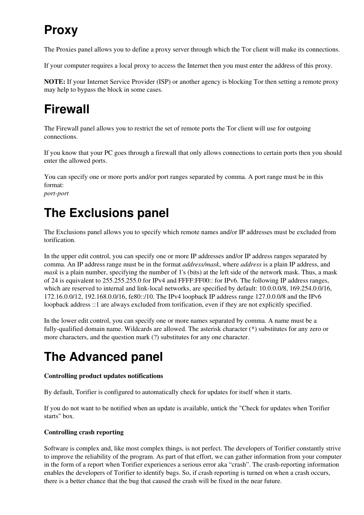# **Proxy**

The Proxies panel allows you to define a proxy server through which the Tor client will make its connections.

If your computer requires a local proxy to access the Internet then you must enter the address of this proxy.

**NOTE:** If your Internet Service Provider (ISP) or another agency is blocking Tor then setting a remote proxy may help to bypass the block in some cases.

# <span id="page-2-0"></span>**Firewall**

The Firewall panel allows you to restrict the set of remote ports the Tor client will use for outgoing connections.

If you know that your PC goes through a firewall that only allows connections to certain ports then you should enter the allowed ports.

You can specify one or more ports and/or port ranges separated by comma. A port range must be in this format:

*port-port*

# <span id="page-2-1"></span>**The Exclusions panel**

The Exclusions panel allows you to specify which remote names and/or IP addresses must be excluded from torification.

In the upper edit control, you can specify one or more IP addresses and/or IP address ranges separated by comma. An IP address range must be in the format *address/mask*, where *address* is a plain IP address, and *mask* is a plain number, specifying the number of 1's (bits) at the left side of the network mask. Thus, a mask of 24 is equivalent to 255.255.255.0 for IPv4 and FFFF:FF00:: for IPv6. The following IP address ranges, which are reserved to internal and link-local networks, are specified by default:  $10.0.0.0/8$ ,  $169.254.0.0/16$ , 172.16.0.0/12, 192.168.0.0/16, fe80::/10. The IPv4 loopback IP address range 127.0.0.0/8 and the IPv6 loopback address ::1 are always excluded from torification, even if they are not explicitly specified.

In the lower edit control, you can specify one or more names separated by comma. A name must be a fully-qualified domain name. Wildcards are allowed. The asterisk character (\*) substitutes for any zero or more characters, and the question mark (?) substitutes for any one character.

# <span id="page-2-2"></span>**The Advanced panel**

#### **Controlling product updates notifications**

By default, Torifier is configured to automatically check for updates for itself when it starts.

If you do not want to be notified when an update is available, untick the "Check for updates when Torifier starts" box.

#### **Controlling crash reporting**

Software is complex and, like most complex things, is not perfect. The developers of Torifier constantly strive to improve the reliability of the program. As part of that effort, we can gather information from your computer in the form of a report when Torifier experiences a serious error aka "crash". The crash-reporting information enables the developers of Torifier to identify bugs. So, if crash reporting is turned on when a crash occurs, there is a better chance that the bug that caused the crash will be fixed in the near future.